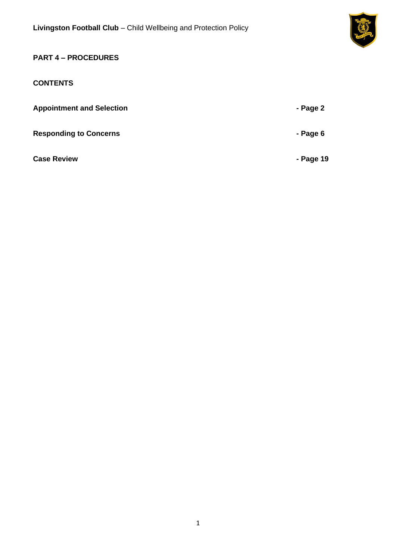

# **PART 4 – PROCEDURES**

# **CONTENTS**

| <b>Appointment and Selection</b> | - Page 2  |
|----------------------------------|-----------|
| <b>Responding to Concerns</b>    | - Page 6  |
| <b>Case Review</b>               | - Page 19 |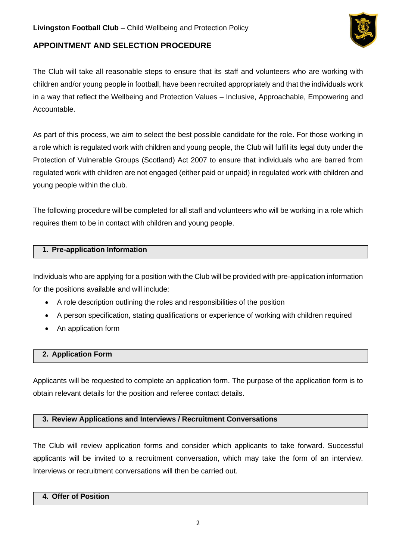

# **APPOINTMENT AND SELECTION PROCEDURE**

The Club will take all reasonable steps to ensure that its staff and volunteers who are working with children and/or young people in football, have been recruited appropriately and that the individuals work in a way that reflect the Wellbeing and Protection Values – Inclusive, Approachable, Empowering and Accountable.

As part of this process, we aim to select the best possible candidate for the role. For those working in a role which is regulated work with children and young people, the Club will fulfil its legal duty under the Protection of Vulnerable Groups (Scotland) Act 2007 to ensure that individuals who are barred from regulated work with children are not engaged (either paid or unpaid) in regulated work with children and young people within the club.

The following procedure will be completed for all staff and volunteers who will be working in a role which requires them to be in contact with children and young people.

#### **1. Pre-application Information**

Individuals who are applying for a position with the Club will be provided with pre-application information for the positions available and will include:

- A role description outlining the roles and responsibilities of the position
- A person specification, stating qualifications or experience of working with children required
- An application form

### **2. Application Form**

Applicants will be requested to complete an application form. The purpose of the application form is to obtain relevant details for the position and referee contact details.

### **3. Review Applications and Interviews / Recruitment Conversations**

The Club will review application forms and consider which applicants to take forward. Successful applicants will be invited to a recruitment conversation, which may take the form of an interview. Interviews or recruitment conversations will then be carried out.

### **4. Offer of Position**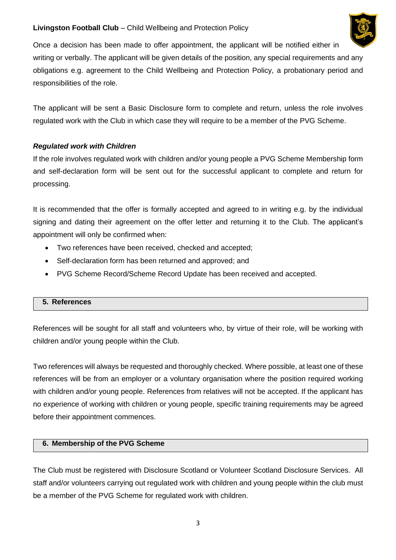

Once a decision has been made to offer appointment, the applicant will be notified either in writing or verbally. The applicant will be given details of the position, any special requirements and any obligations e.g. agreement to the Child Wellbeing and Protection Policy, a probationary period and responsibilities of the role.

The applicant will be sent a Basic Disclosure form to complete and return, unless the role involves regulated work with the Club in which case they will require to be a member of the PVG Scheme.

# *Regulated work with Children*

If the role involves regulated work with children and/or young people a PVG Scheme Membership form and self-declaration form will be sent out for the successful applicant to complete and return for processing.

It is recommended that the offer is formally accepted and agreed to in writing e.g. by the individual signing and dating their agreement on the offer letter and returning it to the Club. The applicant's appointment will only be confirmed when:

- Two references have been received, checked and accepted;
- Self-declaration form has been returned and approved; and
- PVG Scheme Record/Scheme Record Update has been received and accepted.

### **5. References**

References will be sought for all staff and volunteers who, by virtue of their role, will be working with children and/or young people within the Club.

Two references will always be requested and thoroughly checked. Where possible, at least one of these references will be from an employer or a voluntary organisation where the position required working with children and/or young people. References from relatives will not be accepted. If the applicant has no experience of working with children or young people, specific training requirements may be agreed before their appointment commences.

### **6. Membership of the PVG Scheme**

The Club must be registered with Disclosure Scotland or Volunteer Scotland Disclosure Services. All staff and/or volunteers carrying out regulated work with children and young people within the club must be a member of the PVG Scheme for regulated work with children.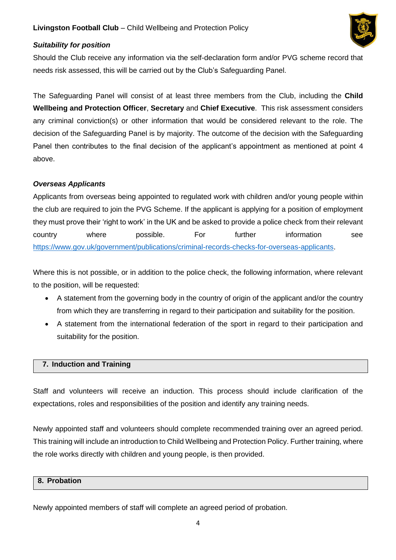

### *Suitability for position*

Should the Club receive any information via the self-declaration form and/or PVG scheme record that needs risk assessed, this will be carried out by the Club's Safeguarding Panel.

The Safeguarding Panel will consist of at least three members from the Club, including the **Child Wellbeing and Protection Officer**, **Secretary** and **Chief Executive**. This risk assessment considers any criminal conviction(s) or other information that would be considered relevant to the role. The decision of the Safeguarding Panel is by majority. The outcome of the decision with the Safeguarding Panel then contributes to the final decision of the applicant's appointment as mentioned at point 4 above.

#### *Overseas Applicants*

Applicants from overseas being appointed to regulated work with children and/or young people within the club are required to join the PVG Scheme. If the applicant is applying for a position of employment they must prove their 'right to work' in the UK and be asked to provide a police check from their relevant country where possible. For further information see [https://www.gov.uk/government/publications/criminal-records-checks-for-overseas-applicants.](https://www.gov.uk/government/publications/criminal-records-checks-for-overseas-applicants)

Where this is not possible, or in addition to the police check, the following information, where relevant to the position, will be requested:

- A statement from the governing body in the country of origin of the applicant and/or the country from which they are transferring in regard to their participation and suitability for the position.
- A statement from the international federation of the sport in regard to their participation and suitability for the position.

#### **7. Induction and Training**

Staff and volunteers will receive an induction. This process should include clarification of the expectations, roles and responsibilities of the position and identify any training needs.

Newly appointed staff and volunteers should complete recommended training over an agreed period. This training will include an introduction to Child Wellbeing and Protection Policy. Further training, where the role works directly with children and young people, is then provided.

### **8. Probation**

Newly appointed members of staff will complete an agreed period of probation.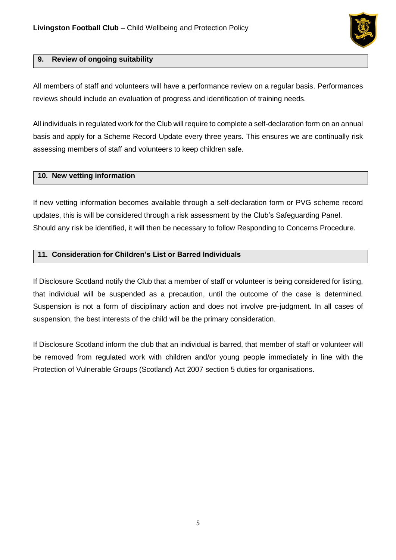

#### **9. Review of ongoing suitability**

All members of staff and volunteers will have a performance review on a regular basis. Performances reviews should include an evaluation of progress and identification of training needs.

All individuals in regulated work for the Club will require to complete a self-declaration form on an annual basis and apply for a Scheme Record Update every three years. This ensures we are continually risk assessing members of staff and volunteers to keep children safe.

#### **10. New vetting information**

If new vetting information becomes available through a self-declaration form or PVG scheme record updates, this is will be considered through a risk assessment by the Club's Safeguarding Panel. Should any risk be identified, it will then be necessary to follow Responding to Concerns Procedure.

#### **11. Consideration for Children's List or Barred Individuals**

If Disclosure Scotland notify the Club that a member of staff or volunteer is being considered for listing, that individual will be suspended as a precaution, until the outcome of the case is determined. Suspension is not a form of disciplinary action and does not involve pre-judgment. In all cases of suspension, the best interests of the child will be the primary consideration.

If Disclosure Scotland inform the club that an individual is barred, that member of staff or volunteer will be removed from regulated work with children and/or young people immediately in line with the Protection of Vulnerable Groups (Scotland) Act 2007 section 5 duties for organisations.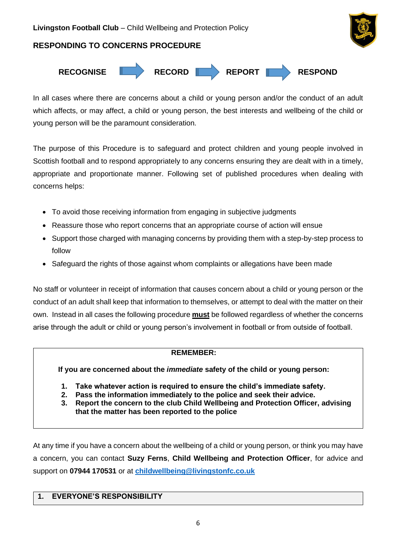# **RESPONDING TO CONCERNS PROCEDURE**





In all cases where there are concerns about a child or young person and/or the conduct of an adult which affects, or may affect, a child or young person, the best interests and wellbeing of the child or young person will be the paramount consideration.

The purpose of this Procedure is to safeguard and protect children and young people involved in Scottish football and to respond appropriately to any concerns ensuring they are dealt with in a timely, appropriate and proportionate manner. Following set of published procedures when dealing with concerns helps:

- To avoid those receiving information from engaging in subjective judgments
- Reassure those who report concerns that an appropriate course of action will ensue
- Support those charged with managing concerns by providing them with a step-by-step process to follow
- Safeguard the rights of those against whom complaints or allegations have been made

No staff or volunteer in receipt of information that causes concern about a child or young person or the conduct of an adult shall keep that information to themselves, or attempt to deal with the matter on their own. Instead in all cases the following procedure **must** be followed regardless of whether the concerns arise through the adult or child or young person's involvement in football or from outside of football.

#### **REMEMBER:**

**If you are concerned about the** *immediate* **safety of the child or young person:**

- **1. Take whatever action is required to ensure the child's immediate safety.**
- **2. Pass the information immediately to the police and seek their advice.**
- **3. Report the concern to the club Child Wellbeing and Protection Officer, advising that the matter has been reported to the police**

At any time if you have a concern about the wellbeing of a child or young person, or think you may have a concern, you can contact **Suzy Ferns**, **Child Wellbeing and Protection Officer**, for advice and support on **07944 170531** or at **[childwellbeing@livingstonfc.co.uk](mailto:childwellbeing@livingstonfc.co.uk)**

### **1. EVERYONE'S RESPONSIBILITY**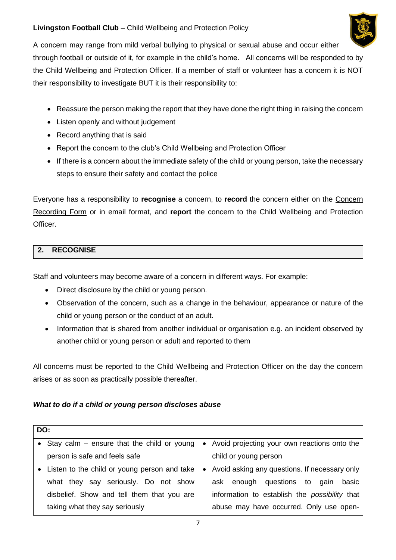

A concern may range from mild verbal bullying to physical or sexual abuse and occur either through football or outside of it, for example in the child's home. All concerns will be responded to by the Child Wellbeing and Protection Officer. If a member of staff or volunteer has a concern it is NOT their responsibility to investigate BUT it is their responsibility to:

- Reassure the person making the report that they have done the right thing in raising the concern
- Listen openly and without judgement
- Record anything that is said
- Report the concern to the club's Child Wellbeing and Protection Officer
- If there is a concern about the immediate safety of the child or young person, take the necessary steps to ensure their safety and contact the police

Everyone has a responsibility to **recognise** a concern, to **record** the concern either on the Concern Recording Form or in email format, and **report** the concern to the Child Wellbeing and Protection Officer.

# **2. RECOGNISE**

Staff and volunteers may become aware of a concern in different ways. For example:

- Direct disclosure by the child or young person.
- Observation of the concern, such as a change in the behaviour, appearance or nature of the child or young person or the conduct of an adult.
- Information that is shared from another individual or organisation e.g. an incident observed by another child or young person or adult and reported to them

All concerns must be reported to the Child Wellbeing and Protection Officer on the day the concern arises or as soon as practically possible thereafter.

### *What to do if a child or young person discloses abuse*

| DO: |                                                |  |                                                      |  |  |
|-----|------------------------------------------------|--|------------------------------------------------------|--|--|
|     | • Stay calm $-$ ensure that the child or young |  | • Avoid projecting your own reactions onto the       |  |  |
|     | person is safe and feels safe                  |  | child or young person                                |  |  |
|     | • Listen to the child or young person and take |  | • Avoid asking any questions. If necessary only      |  |  |
|     | what they say seriously. Do not show           |  | ask enough questions to<br>basic<br>gain             |  |  |
|     | disbelief. Show and tell them that you are     |  | information to establish the <i>possibility</i> that |  |  |
|     | taking what they say seriously                 |  | abuse may have occurred. Only use open-              |  |  |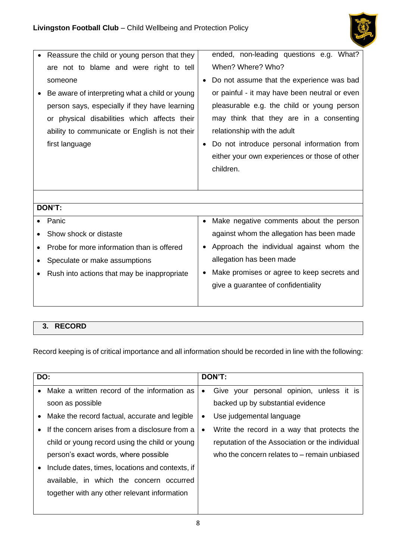

| Reassure the child or young person that they   | ended, non-leading questions e.g. What?       |
|------------------------------------------------|-----------------------------------------------|
| are not to blame and were right to tell        | When? Where? Who?                             |
| someone                                        | Do not assume that the experience was bad     |
| Be aware of interpreting what a child or young | or painful - it may have been neutral or even |
| person says, especially if they have learning  | pleasurable e.g. the child or young person    |
| or physical disabilities which affects their   | may think that they are in a consenting       |
| ability to communicate or English is not their | relationship with the adult                   |
| first language                                 | Do not introduce personal information from    |
|                                                | either your own experiences or those of other |
|                                                | children.                                     |
|                                                |                                               |
|                                                |                                               |
| DON'T:                                         |                                               |
| Panic                                          | Make negative comments about the person       |
| Show shock or distaste                         | against whom the allegation has been made     |
| Probe for more information than is offered     | Approach the individual against whom the      |
| Speculate or make assumptions                  | allegation has been made                      |
| Rush into actions that may be inappropriate    | Make promises or agree to keep secrets and    |
|                                                | give a guarantee of confidentiality           |
|                                                |                                               |
|                                                |                                               |

# **3. RECORD**

Record keeping is of critical importance and all information should be recorded in line with the following:

| DO:       |                                                  |           | DON'T:                                          |  |  |  |  |
|-----------|--------------------------------------------------|-----------|-------------------------------------------------|--|--|--|--|
|           |                                                  |           |                                                 |  |  |  |  |
| $\bullet$ | Make a written record of the information as      | $\bullet$ | Give your personal opinion, unless it is        |  |  |  |  |
|           | soon as possible                                 |           | backed up by substantial evidence               |  |  |  |  |
|           | • Make the record factual, accurate and legible  | ٠         | Use judgemental language                        |  |  |  |  |
|           | If the concern arises from a disclosure from a   | $\bullet$ | Write the record in a way that protects the     |  |  |  |  |
|           | child or young record using the child or young   |           | reputation of the Association or the individual |  |  |  |  |
|           | person's exact words, where possible             |           | who the concern relates to – remain unbiased    |  |  |  |  |
|           | Include dates, times, locations and contexts, if |           |                                                 |  |  |  |  |
|           | available, in which the concern occurred         |           |                                                 |  |  |  |  |
|           | together with any other relevant information     |           |                                                 |  |  |  |  |
|           |                                                  |           |                                                 |  |  |  |  |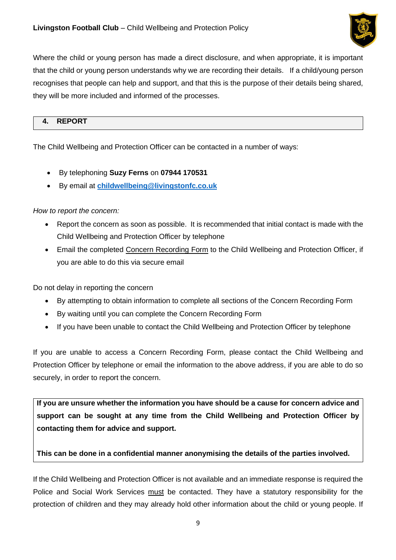

Where the child or young person has made a direct disclosure, and when appropriate, it is important that the child or young person understands why we are recording their details. If a child/young person recognises that people can help and support, and that this is the purpose of their details being shared, they will be more included and informed of the processes.

### **4. REPORT**

The Child Wellbeing and Protection Officer can be contacted in a number of ways:

- By telephoning **Suzy Ferns** on **07944 170531**
- By email at **[childwellbeing@livingstonfc.co.uk](mailto:childwellbeing@livingstonfc.co.uk)**

### *How to report the concern:*

- Report the concern as soon as possible. It is recommended that initial contact is made with the Child Wellbeing and Protection Officer by telephone
- Email the completed Concern Recording Form to the Child Wellbeing and Protection Officer, if you are able to do this via secure email

Do not delay in reporting the concern

- By attempting to obtain information to complete all sections of the Concern Recording Form
- By waiting until you can complete the Concern Recording Form
- If you have been unable to contact the Child Wellbeing and Protection Officer by telephone

If you are unable to access a Concern Recording Form, please contact the Child Wellbeing and Protection Officer by telephone or email the information to the above address, if you are able to do so securely, in order to report the concern.

**If you are unsure whether the information you have should be a cause for concern advice and support can be sought at any time from the Child Wellbeing and Protection Officer by contacting them for advice and support.** 

### **This can be done in a confidential manner anonymising the details of the parties involved.**

If the Child Wellbeing and Protection Officer is not available and an immediate response is required the Police and Social Work Services must be contacted. They have a statutory responsibility for the protection of children and they may already hold other information about the child or young people. If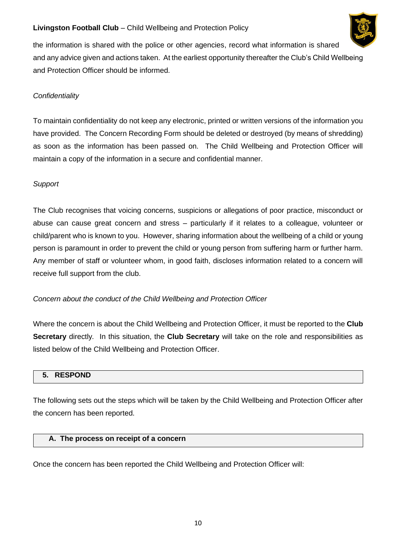

the information is shared with the police or other agencies, record what information is shared and any advice given and actions taken. At the earliest opportunity thereafter the Club's Child Wellbeing and Protection Officer should be informed.

# *Confidentiality*

To maintain confidentiality do not keep any electronic, printed or written versions of the information you have provided. The Concern Recording Form should be deleted or destroyed (by means of shredding) as soon as the information has been passed on. The Child Wellbeing and Protection Officer will maintain a copy of the information in a secure and confidential manner.

### *Support*

The Club recognises that voicing concerns, suspicions or allegations of poor practice, misconduct or abuse can cause great concern and stress – particularly if it relates to a colleague, volunteer or child/parent who is known to you. However, sharing information about the wellbeing of a child or young person is paramount in order to prevent the child or young person from suffering harm or further harm. Any member of staff or volunteer whom, in good faith, discloses information related to a concern will receive full support from the club.

### *Concern about the conduct of the Child Wellbeing and Protection Officer*

Where the concern is about the Child Wellbeing and Protection Officer, it must be reported to the **Club Secretary** directly*.* In this situation, the **Club Secretary** will take on the role and responsibilities as listed below of the Child Wellbeing and Protection Officer.

### **5. RESPOND**

The following sets out the steps which will be taken by the Child Wellbeing and Protection Officer after the concern has been reported.

#### **A. The process on receipt of a concern**

Once the concern has been reported the Child Wellbeing and Protection Officer will: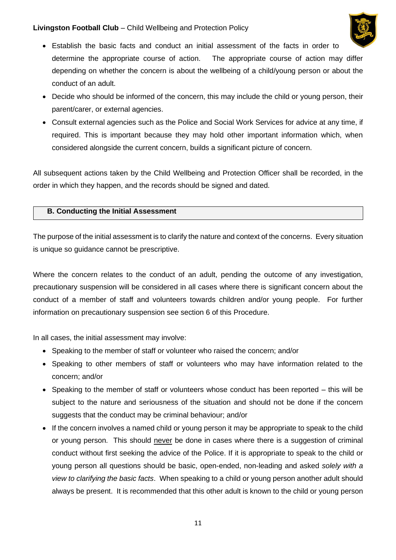

- Establish the basic facts and conduct an initial assessment of the facts in order to determine the appropriate course of action. The appropriate course of action may differ depending on whether the concern is about the wellbeing of a child/young person or about the conduct of an adult.
- Decide who should be informed of the concern, this may include the child or young person, their parent/carer, or external agencies.
- Consult external agencies such as the Police and Social Work Services for advice at any time, if required. This is important because they may hold other important information which, when considered alongside the current concern, builds a significant picture of concern.

All subsequent actions taken by the Child Wellbeing and Protection Officer shall be recorded, in the order in which they happen, and the records should be signed and dated.

### **B. Conducting the Initial Assessment**

The purpose of the initial assessment is to clarify the nature and context of the concerns. Every situation is unique so guidance cannot be prescriptive.

Where the concern relates to the conduct of an adult, pending the outcome of any investigation, precautionary suspension will be considered in all cases where there is significant concern about the conduct of a member of staff and volunteers towards children and/or young people. For further information on precautionary suspension see section 6 of this Procedure.

In all cases, the initial assessment may involve:

- Speaking to the member of staff or volunteer who raised the concern; and/or
- Speaking to other members of staff or volunteers who may have information related to the concern; and/or
- Speaking to the member of staff or volunteers whose conduct has been reported this will be subject to the nature and seriousness of the situation and should not be done if the concern suggests that the conduct may be criminal behaviour; and/or
- If the concern involves a named child or young person it may be appropriate to speak to the child or young person. This should never be done in cases where there is a suggestion of criminal conduct without first seeking the advice of the Police. If it is appropriate to speak to the child or young person all questions should be basic, open-ended, non-leading and asked *solely with a view to clarifying the basic facts*. When speaking to a child or young person another adult should always be present. It is recommended that this other adult is known to the child or young person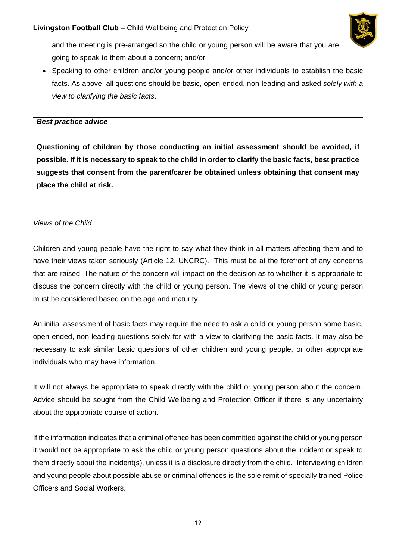

and the meeting is pre-arranged so the child or young person will be aware that you are going to speak to them about a concern; and/or

• Speaking to other children and/or young people and/or other individuals to establish the basic facts. As above, all questions should be basic, open-ended, non-leading and asked *solely with a view to clarifying the basic facts*.

#### *Best practice advice*

**Questioning of children by those conducting an initial assessment should be avoided, if possible. If it is necessary to speak to the child in order to clarify the basic facts, best practice suggests that consent from the parent/carer be obtained unless obtaining that consent may place the child at risk.**

#### *Views of the Child*

Children and young people have the right to say what they think in all matters affecting them and to have their views taken seriously (Article 12, UNCRC). This must be at the forefront of any concerns that are raised. The nature of the concern will impact on the decision as to whether it is appropriate to discuss the concern directly with the child or young person. The views of the child or young person must be considered based on the age and maturity.

An initial assessment of basic facts may require the need to ask a child or young person some basic, open-ended, non-leading questions solely for with a view to clarifying the basic facts. It may also be necessary to ask similar basic questions of other children and young people, or other appropriate individuals who may have information.

It will not always be appropriate to speak directly with the child or young person about the concern. Advice should be sought from the Child Wellbeing and Protection Officer if there is any uncertainty about the appropriate course of action.

If the information indicates that a criminal offence has been committed against the child or young person it would not be appropriate to ask the child or young person questions about the incident or speak to them directly about the incident(s), unless it is a disclosure directly from the child. Interviewing children and young people about possible abuse or criminal offences is the sole remit of specially trained Police Officers and Social Workers.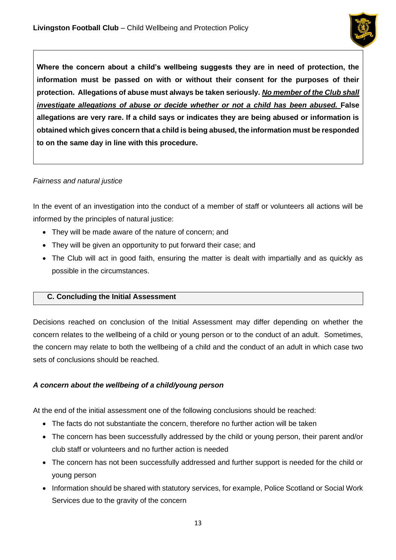

**Where the concern about a child's wellbeing suggests they are in need of protection, the information must be passed on with or without their consent for the purposes of their protection. Allegations of abuse must always be taken seriously.** *No member of the Club shall investigate allegations of abuse or decide whether or not a child has been abused.* False **allegations are very rare. If a child says or indicates they are being abused or information is obtained which gives concern that a child is being abused, the information must be responded to on the same day in line with this procedure.** 

### *Fairness and natural justice*

In the event of an investigation into the conduct of a member of staff or volunteers all actions will be informed by the principles of natural justice:

- They will be made aware of the nature of concern; and
- They will be given an opportunity to put forward their case; and
- The Club will act in good faith, ensuring the matter is dealt with impartially and as quickly as possible in the circumstances.

### **C. Concluding the Initial Assessment**

Decisions reached on conclusion of the Initial Assessment may differ depending on whether the concern relates to the wellbeing of a child or young person or to the conduct of an adult. Sometimes, the concern may relate to both the wellbeing of a child and the conduct of an adult in which case two sets of conclusions should be reached.

### *A concern about the wellbeing of a child/young person*

At the end of the initial assessment one of the following conclusions should be reached:

- The facts do not substantiate the concern, therefore no further action will be taken
- The concern has been successfully addressed by the child or young person, their parent and/or club staff or volunteers and no further action is needed
- The concern has not been successfully addressed and further support is needed for the child or young person
- Information should be shared with statutory services, for example, Police Scotland or Social Work Services due to the gravity of the concern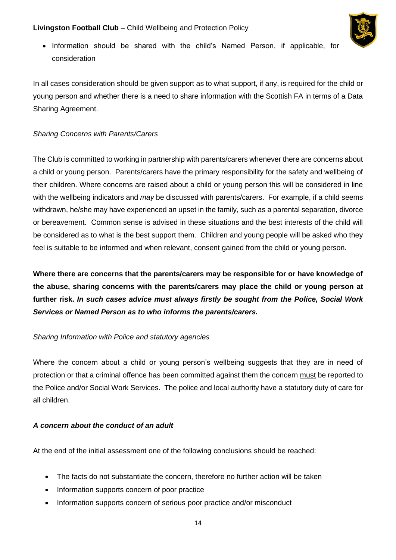

• Information should be shared with the child's Named Person, if applicable, for consideration

In all cases consideration should be given support as to what support, if any, is required for the child or young person and whether there is a need to share information with the Scottish FA in terms of a Data Sharing Agreement.

### *Sharing Concerns with Parents/Carers*

The Club is committed to working in partnership with parents/carers whenever there are concerns about a child or young person. Parents/carers have the primary responsibility for the safety and wellbeing of their children. Where concerns are raised about a child or young person this will be considered in line with the wellbeing indicators and *may* be discussed with parents/carers. For example, if a child seems withdrawn, he/she may have experienced an upset in the family, such as a parental separation, divorce or bereavement. Common sense is advised in these situations and the best interests of the child will be considered as to what is the best support them. Children and young people will be asked who they feel is suitable to be informed and when relevant, consent gained from the child or young person.

**Where there are concerns that the parents/carers may be responsible for or have knowledge of the abuse, sharing concerns with the parents/carers may place the child or young person at further risk.** *In such cases advice must always firstly be sought from the Police, Social Work Services or Named Person as to who informs the parents/carers.*

### *Sharing Information with Police and statutory agencies*

Where the concern about a child or young person's wellbeing suggests that they are in need of protection or that a criminal offence has been committed against them the concern must be reported to the Police and/or Social Work Services. The police and local authority have a statutory duty of care for all children.

### *A concern about the conduct of an adult*

At the end of the initial assessment one of the following conclusions should be reached:

- The facts do not substantiate the concern, therefore no further action will be taken
- Information supports concern of poor practice
- Information supports concern of serious poor practice and/or misconduct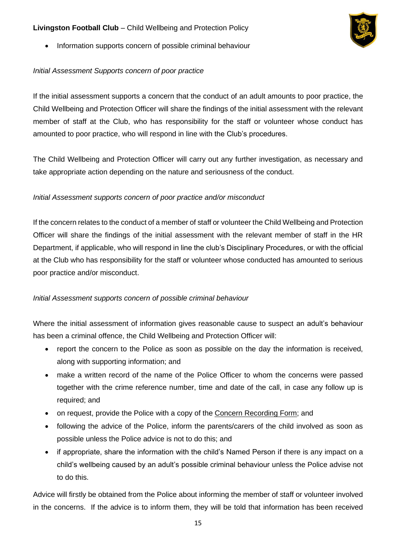• Information supports concern of possible criminal behaviour

# *Initial Assessment Supports concern of poor practice*

If the initial assessment supports a concern that the conduct of an adult amounts to poor practice, the Child Wellbeing and Protection Officer will share the findings of the initial assessment with the relevant member of staff at the Club, who has responsibility for the staff or volunteer whose conduct has amounted to poor practice, who will respond in line with the Club's procedures.

The Child Wellbeing and Protection Officer will carry out any further investigation, as necessary and take appropriate action depending on the nature and seriousness of the conduct.

# *Initial Assessment supports concern of poor practice and/or misconduct*

If the concern relates to the conduct of a member of staff or volunteer the Child Wellbeing and Protection Officer will share the findings of the initial assessment with the relevant member of staff in the HR Department, if applicable, who will respond in line the club's Disciplinary Procedures, or with the official at the Club who has responsibility for the staff or volunteer whose conducted has amounted to serious poor practice and/or misconduct.

### *Initial Assessment supports concern of possible criminal behaviour*

Where the initial assessment of information gives reasonable cause to suspect an adult's behaviour has been a criminal offence, the Child Wellbeing and Protection Officer will:

- report the concern to the Police as soon as possible on the day the information is received, along with supporting information; and
- make a written record of the name of the Police Officer to whom the concerns were passed together with the crime reference number, time and date of the call, in case any follow up is required; and
- on request, provide the Police with a copy of the Concern Recording Form; and
- following the advice of the Police, inform the parents/carers of the child involved as soon as possible unless the Police advice is not to do this; and
- if appropriate, share the information with the child's Named Person if there is any impact on a child's wellbeing caused by an adult's possible criminal behaviour unless the Police advise not to do this.

Advice will firstly be obtained from the Police about informing the member of staff or volunteer involved in the concerns. If the advice is to inform them, they will be told that information has been received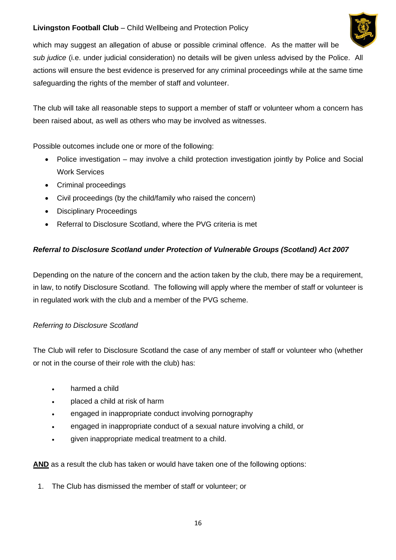

which may suggest an allegation of abuse or possible criminal offence. As the matter will be *sub judice* (i.e. under judicial consideration) no details will be given unless advised by the Police. All actions will ensure the best evidence is preserved for any criminal proceedings while at the same time safeguarding the rights of the member of staff and volunteer.

The club will take all reasonable steps to support a member of staff or volunteer whom a concern has been raised about, as well as others who may be involved as witnesses.

Possible outcomes include one or more of the following:

- Police investigation may involve a child protection investigation jointly by Police and Social Work Services
- Criminal proceedings
- Civil proceedings (by the child/family who raised the concern)
- Disciplinary Proceedings
- Referral to Disclosure Scotland, where the PVG criteria is met

# *Referral to Disclosure Scotland under Protection of Vulnerable Groups (Scotland) Act 2007*

Depending on the nature of the concern and the action taken by the club, there may be a requirement, in law, to notify Disclosure Scotland. The following will apply where the member of staff or volunteer is in regulated work with the club and a member of the PVG scheme.

### *Referring to Disclosure Scotland*

The Club will refer to Disclosure Scotland the case of any member of staff or volunteer who (whether or not in the course of their role with the club) has:

- harmed a child
- placed a child at risk of harm
- engaged in inappropriate conduct involving pornography
- engaged in inappropriate conduct of a sexual nature involving a child, or
- given inappropriate medical treatment to a child.

**AND** as a result the club has taken or would have taken one of the following options:

1. The Club has dismissed the member of staff or volunteer; or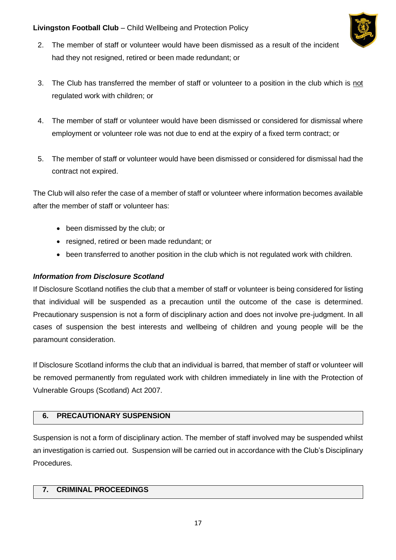

- 2. The member of staff or volunteer would have been dismissed as a result of the incident had they not resigned, retired or been made redundant; or
- 3. The Club has transferred the member of staff or volunteer to a position in the club which is not regulated work with children; or
- 4. The member of staff or volunteer would have been dismissed or considered for dismissal where employment or volunteer role was not due to end at the expiry of a fixed term contract; or
- 5. The member of staff or volunteer would have been dismissed or considered for dismissal had the contract not expired.

The Club will also refer the case of a member of staff or volunteer where information becomes available after the member of staff or volunteer has:

- been dismissed by the club; or
- resigned, retired or been made redundant; or
- been transferred to another position in the club which is not regulated work with children.

### *Information from Disclosure Scotland*

If Disclosure Scotland notifies the club that a member of staff or volunteer is being considered for listing that individual will be suspended as a precaution until the outcome of the case is determined. Precautionary suspension is not a form of disciplinary action and does not involve pre-judgment. In all cases of suspension the best interests and wellbeing of children and young people will be the paramount consideration.

If Disclosure Scotland informs the club that an individual is barred, that member of staff or volunteer will be removed permanently from regulated work with children immediately in line with the Protection of Vulnerable Groups (Scotland) Act 2007.

### **6. PRECAUTIONARY SUSPENSION**

Suspension is not a form of disciplinary action. The member of staff involved may be suspended whilst an investigation is carried out. Suspension will be carried out in accordance with the Club's Disciplinary Procedures.

### **7. CRIMINAL PROCEEDINGS**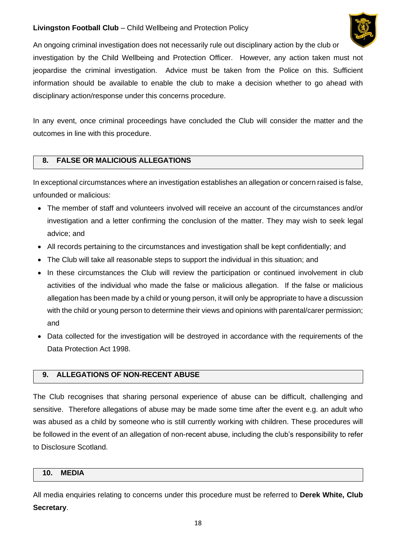

An ongoing criminal investigation does not necessarily rule out disciplinary action by the club or investigation by the Child Wellbeing and Protection Officer. However, any action taken must not jeopardise the criminal investigation. Advice must be taken from the Police on this. Sufficient information should be available to enable the club to make a decision whether to go ahead with disciplinary action/response under this concerns procedure.

In any event, once criminal proceedings have concluded the Club will consider the matter and the outcomes in line with this procedure.

# **8. FALSE OR MALICIOUS ALLEGATIONS**

In exceptional circumstances where an investigation establishes an allegation or concern raised is false, unfounded or malicious:

- The member of staff and volunteers involved will receive an account of the circumstances and/or investigation and a letter confirming the conclusion of the matter. They may wish to seek legal advice; and
- All records pertaining to the circumstances and investigation shall be kept confidentially; and
- The Club will take all reasonable steps to support the individual in this situation; and
- In these circumstances the Club will review the participation or continued involvement in club activities of the individual who made the false or malicious allegation. If the false or malicious allegation has been made by a child or young person, it will only be appropriate to have a discussion with the child or young person to determine their views and opinions with parental/carer permission; and
- Data collected for the investigation will be destroyed in accordance with the requirements of the Data Protection Act 1998.

### **9. ALLEGATIONS OF NON-RECENT ABUSE**

The Club recognises that sharing personal experience of abuse can be difficult, challenging and sensitive. Therefore allegations of abuse may be made some time after the event e.g. an adult who was abused as a child by someone who is still currently working with children. These procedures will be followed in the event of an allegation of non-recent abuse, including the club's responsibility to refer to Disclosure Scotland.

#### **10. MEDIA**

All media enquiries relating to concerns under this procedure must be referred to **Derek White, Club Secretary**.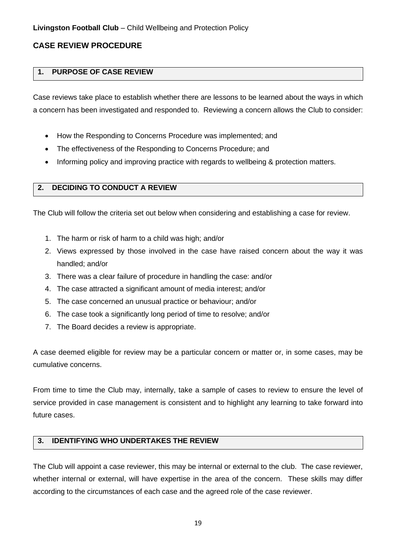# **CASE REVIEW PROCEDURE**

# **1. PURPOSE OF CASE REVIEW**

Case reviews take place to establish whether there are lessons to be learned about the ways in which a concern has been investigated and responded to. Reviewing a concern allows the Club to consider:

- How the Responding to Concerns Procedure was implemented; and
- The effectiveness of the Responding to Concerns Procedure; and
- Informing policy and improving practice with regards to wellbeing & protection matters.

# **2. DECIDING TO CONDUCT A REVIEW**

The Club will follow the criteria set out below when considering and establishing a case for review.

- 1. The harm or risk of harm to a child was high; and/or
- 2. Views expressed by those involved in the case have raised concern about the way it was handled; and/or
- 3. There was a clear failure of procedure in handling the case: and/or
- 4. The case attracted a significant amount of media interest; and/or
- 5. The case concerned an unusual practice or behaviour; and/or
- 6. The case took a significantly long period of time to resolve; and/or
- 7. The Board decides a review is appropriate.

A case deemed eligible for review may be a particular concern or matter or, in some cases, may be cumulative concerns.

From time to time the Club may, internally, take a sample of cases to review to ensure the level of service provided in case management is consistent and to highlight any learning to take forward into future cases.

# **3. IDENTIFYING WHO UNDERTAKES THE REVIEW**

The Club will appoint a case reviewer, this may be internal or external to the club. The case reviewer, whether internal or external, will have expertise in the area of the concern. These skills may differ according to the circumstances of each case and the agreed role of the case reviewer.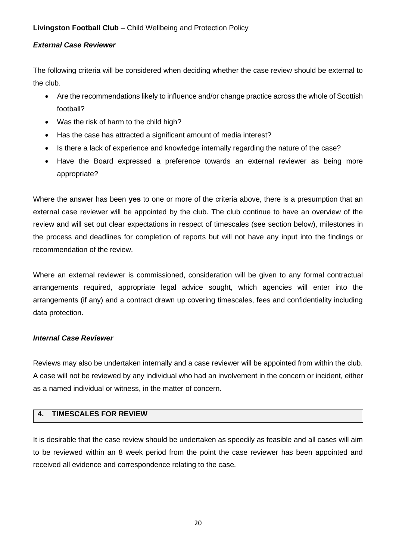#### *External Case Reviewer*

The following criteria will be considered when deciding whether the case review should be external to the club.

- Are the recommendations likely to influence and/or change practice across the whole of Scottish football?
- Was the risk of harm to the child high?
- Has the case has attracted a significant amount of media interest?
- Is there a lack of experience and knowledge internally regarding the nature of the case?
- Have the Board expressed a preference towards an external reviewer as being more appropriate?

Where the answer has been **yes** to one or more of the criteria above, there is a presumption that an external case reviewer will be appointed by the club. The club continue to have an overview of the review and will set out clear expectations in respect of timescales (see section below), milestones in the process and deadlines for completion of reports but will not have any input into the findings or recommendation of the review.

Where an external reviewer is commissioned, consideration will be given to any formal contractual arrangements required, appropriate legal advice sought, which agencies will enter into the arrangements (if any) and a contract drawn up covering timescales, fees and confidentiality including data protection.

#### *Internal Case Reviewer*

Reviews may also be undertaken internally and a case reviewer will be appointed from within the club. A case will not be reviewed by any individual who had an involvement in the concern or incident, either as a named individual or witness, in the matter of concern.

# **4. TIMESCALES FOR REVIEW**

It is desirable that the case review should be undertaken as speedily as feasible and all cases will aim to be reviewed within an 8 week period from the point the case reviewer has been appointed and received all evidence and correspondence relating to the case.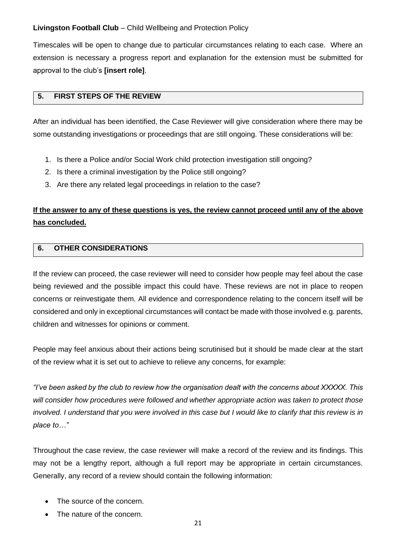Timescales will be open to change due to particular circumstances relating to each case. Where an extension is necessary a progress report and explanation for the extension must be submitted for approval to the club's **[insert role]**.

### **5. FIRST STEPS OF THE REVIEW**

After an individual has been identified, the Case Reviewer will give consideration where there may be some outstanding investigations or proceedings that are still ongoing. These considerations will be:

- 1. Is there a Police and/or Social Work child protection investigation still ongoing?
- 2. Is there a criminal investigation by the Police still ongoing?
- 3. Are there any related legal proceedings in relation to the case?

# **If the answer to any of these questions is yes, the review cannot proceed until any of the above has concluded.**

### **6. OTHER CONSIDERATIONS**

If the review can proceed, the case reviewer will need to consider how people may feel about the case being reviewed and the possible impact this could have. These reviews are not in place to reopen concerns or reinvestigate them. All evidence and correspondence relating to the concern itself will be considered and only in exceptional circumstances will contact be made with those involved e.g. parents, children and witnesses for opinions or comment.

People may feel anxious about their actions being scrutinised but it should be made clear at the start of the review what it is set out to achieve to relieve any concerns, for example:

*"I've been asked by the club to review how the organisation dealt with the concerns about XXXXX. This will consider how procedures were followed and whether appropriate action was taken to protect those involved. I understand that you were involved in this case but I would like to clarify that this review is in place to…"*

Throughout the case review, the case reviewer will make a record of the review and its findings. This may not be a lengthy report, although a full report may be appropriate in certain circumstances. Generally, any record of a review should contain the following information:

- The source of the concern.
- The nature of the concern.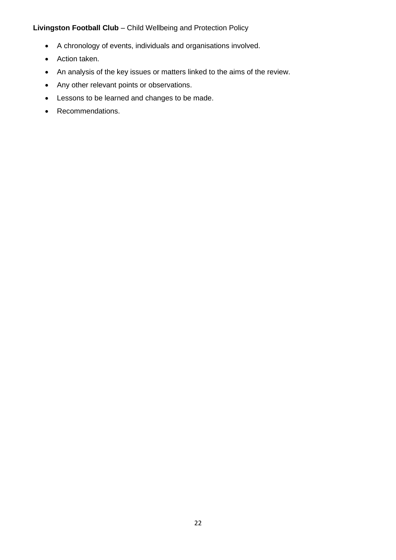- A chronology of events, individuals and organisations involved.
- Action taken.
- An analysis of the key issues or matters linked to the aims of the review.
- Any other relevant points or observations.
- Lessons to be learned and changes to be made.
- Recommendations.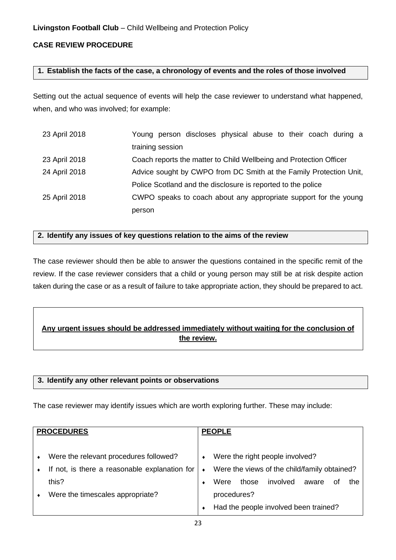# **CASE REVIEW PROCEDURE**

#### **1. Establish the facts of the case, a chronology of events and the roles of those involved**

Setting out the actual sequence of events will help the case reviewer to understand what happened, when, and who was involved; for example:

| 23 April 2018 | Young person discloses physical abuse to their coach during a      |  |  |  |
|---------------|--------------------------------------------------------------------|--|--|--|
|               | training session                                                   |  |  |  |
| 23 April 2018 | Coach reports the matter to Child Wellbeing and Protection Officer |  |  |  |
| 24 April 2018 | Advice sought by CWPO from DC Smith at the Family Protection Unit, |  |  |  |
|               | Police Scotland and the disclosure is reported to the police       |  |  |  |
| 25 April 2018 | CWPO speaks to coach about any appropriate support for the young   |  |  |  |
|               | person                                                             |  |  |  |

#### **2. Identify any issues of key questions relation to the aims of the review**

The case reviewer should then be able to answer the questions contained in the specific remit of the review. If the case reviewer considers that a child or young person may still be at risk despite action taken during the case or as a result of failure to take appropriate action, they should be prepared to act.

# **Any urgent issues should be addressed immediately without waiting for the conclusion of the review.**

#### **3. Identify any other relevant points or observations**

The case reviewer may identify issues which are worth exploring further. These may include:

| <b>PROCEDURES</b> |                                               | <b>PEOPLE</b> |             |  |                                              |       |    |     |
|-------------------|-----------------------------------------------|---------------|-------------|--|----------------------------------------------|-------|----|-----|
|                   |                                               |               |             |  |                                              |       |    |     |
| $\bullet$         | Were the relevant procedures followed?        | ٠             |             |  | Were the right people involved?              |       |    |     |
|                   | If not, is there a reasonable explanation for | $\bullet$     |             |  | Were the views of the child/family obtained? |       |    |     |
|                   | this?                                         |               | Were        |  | those involved                               | aware | οf | the |
| $\bullet$         | Were the timescales appropriate?              |               | procedures? |  |                                              |       |    |     |
|                   |                                               |               |             |  | Had the people involved been trained?        |       |    |     |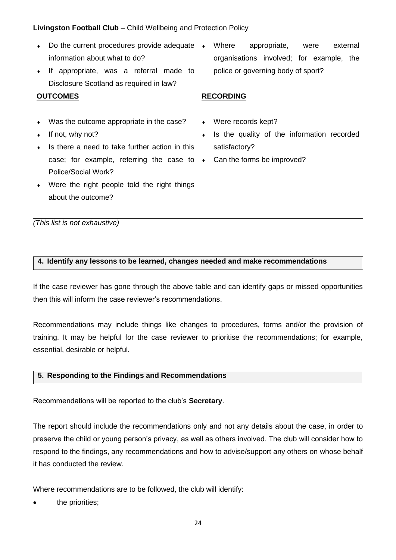| Do the current procedures provide adequate     | $\bullet$ | Where<br>external<br>appropriate,<br>were  |
|------------------------------------------------|-----------|--------------------------------------------|
| information about what to do?                  |           | organisations involved; for example, the   |
| If appropriate, was a referral made to         |           | police or governing body of sport?         |
| Disclosure Scotland as required in law?        |           |                                            |
| <b>OUTCOMES</b>                                |           | <b>RECORDING</b>                           |
|                                                |           |                                            |
| Was the outcome appropriate in the case?       | ٠         | Were records kept?                         |
| If not, why not?                               | ٠         | Is the quality of the information recorded |
| Is there a need to take further action in this |           | satisfactory?                              |
| case; for example, referring the case to       | $\bullet$ | Can the forms be improved?                 |
| Police/Social Work?                            |           |                                            |
| Were the right people told the right things    |           |                                            |
| about the outcome?                             |           |                                            |
|                                                |           |                                            |
|                                                |           |                                            |

*(This list is not exhaustive)*

#### **4. Identify any lessons to be learned, changes needed and make recommendations**

If the case reviewer has gone through the above table and can identify gaps or missed opportunities then this will inform the case reviewer's recommendations.

Recommendations may include things like changes to procedures, forms and/or the provision of training. It may be helpful for the case reviewer to prioritise the recommendations; for example, essential, desirable or helpful.

#### **5. Responding to the Findings and Recommendations**

Recommendations will be reported to the club's **Secretary**.

The report should include the recommendations only and not any details about the case, in order to preserve the child or young person's privacy, as well as others involved. The club will consider how to respond to the findings, any recommendations and how to advise/support any others on whose behalf it has conducted the review.

Where recommendations are to be followed, the club will identify:

the priorities;